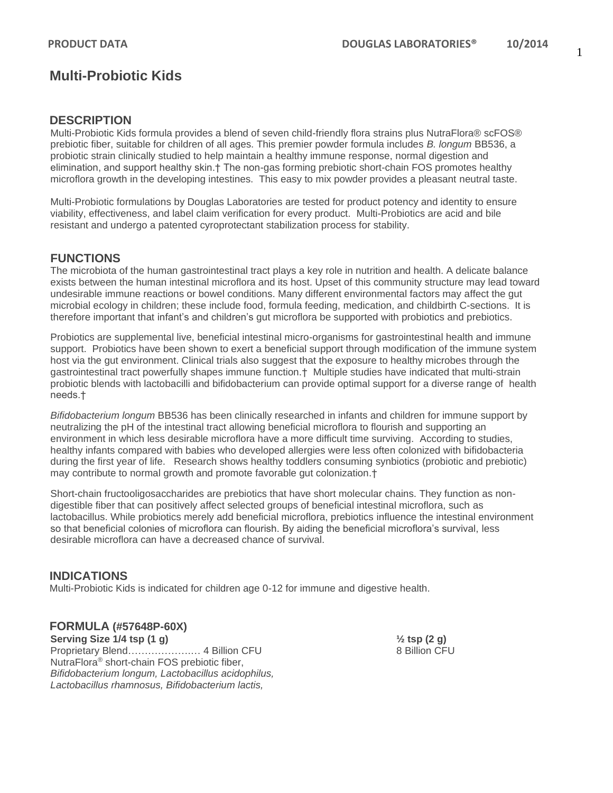## 1

# **Multi-Probiotic Kids**

## **DESCRIPTION**

Multi-Probiotic Kids formula provides a blend of seven child-friendly flora strains plus NutraFlora® scFOS® prebiotic fiber, suitable for children of all ages. This premier powder formula includes *B. longum* BB536, a probiotic strain clinically studied to help maintain a healthy immune response, normal digestion and elimination, and support healthy skin.† The non-gas forming prebiotic short-chain FOS promotes healthy microflora growth in the developing intestines. This easy to mix powder provides a pleasant neutral taste.

Multi-Probiotic formulations by Douglas Laboratories are tested for product potency and identity to ensure viability, effectiveness, and label claim verification for every product. Multi-Probiotics are acid and bile resistant and undergo a patented cyroprotectant stabilization process for stability.

## **FUNCTIONS**

The microbiota of the human gastrointestinal tract plays a key role in nutrition and health. A delicate balance exists between the human intestinal microflora and its host. Upset of this community structure may lead toward undesirable immune reactions or bowel conditions. Many different environmental factors may affect the gut microbial ecology in children; these include food, formula feeding, medication, and childbirth C-sections. It is therefore important that infant's and children's gut microflora be supported with probiotics and prebiotics.

Probiotics are supplemental live, beneficial intestinal micro-organisms for gastrointestinal health and immune support. Probiotics have been shown to exert a beneficial support through modification of the immune system host via the gut environment. Clinical trials also suggest that the exposure to healthy microbes through the gastrointestinal tract powerfully shapes immune function.† Multiple studies have indicated that multi-strain probiotic blends with lactobacilli and bifidobacterium can provide optimal support for a diverse range of health needs.†

*Bifidobacterium longum* BB536 has been clinically researched in infants and children for immune support by neutralizing the pH of the intestinal tract allowing beneficial microflora to flourish and supporting an environment in which less desirable microflora have a more difficult time surviving. According to studies, healthy infants compared with babies who developed allergies were less often colonized with bifidobacteria during the first year of life. Research shows healthy toddlers consuming synbiotics (probiotic and prebiotic) may contribute to normal growth and promote favorable gut colonization.†

Short-chain fructooligosaccharides are prebiotics that have short molecular chains. They function as nondigestible fiber that can positively affect selected groups of beneficial intestinal microflora, such as lactobacillus. While probiotics merely add beneficial microflora, prebiotics influence the intestinal environment so that beneficial colonies of microflora can flourish. By aiding the beneficial microflora's survival, less desirable microflora can have a decreased chance of survival.

## **INDICATIONS**

Multi-Probiotic Kids is indicated for children age 0-12 for immune and digestive health.

### **FORMULA (#57648P-60X)**

**Serving Size 1/4 tsp (1 g) ½ tsp (2 g)** Proprietary Blend……………….… 4 Billion CFU 8 Billion CFU NutraFlora® short-chain FOS prebiotic fiber, *Bifidobacterium longum, Lactobacillus acidophilus, Lactobacillus rhamnosus, Bifidobacterium lactis,*